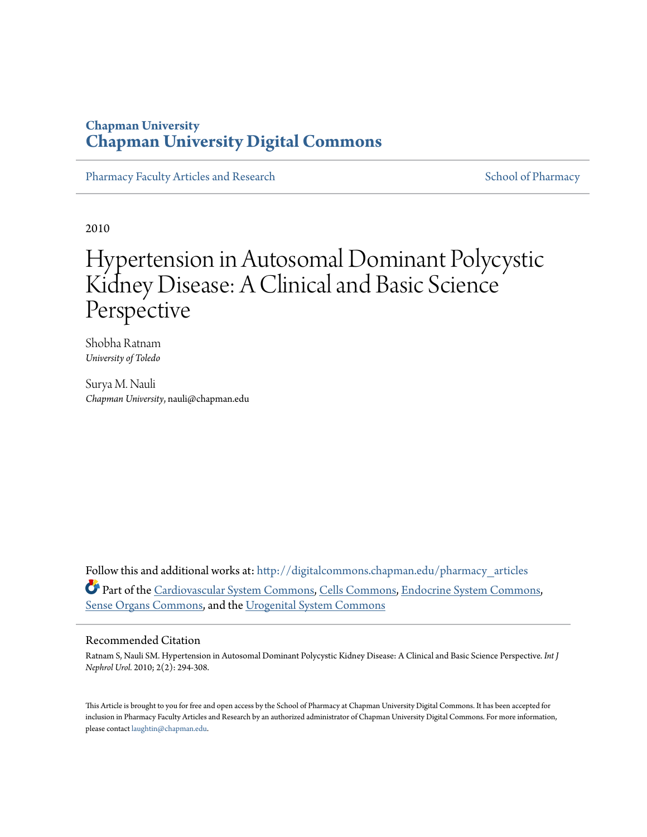## **Chapman University [Chapman University Digital Commons](http://digitalcommons.chapman.edu?utm_source=digitalcommons.chapman.edu%2Fpharmacy_articles%2F9&utm_medium=PDF&utm_campaign=PDFCoverPages)**

[Pharmacy Faculty Articles and Research](http://digitalcommons.chapman.edu/pharmacy_articles?utm_source=digitalcommons.chapman.edu%2Fpharmacy_articles%2F9&utm_medium=PDF&utm_campaign=PDFCoverPages) [School of Pharmacy](http://digitalcommons.chapman.edu/cusp?utm_source=digitalcommons.chapman.edu%2Fpharmacy_articles%2F9&utm_medium=PDF&utm_campaign=PDFCoverPages)

2010

# Hypertension in Autosomal Dominant Polycystic Kidney Disease: A Clinical and Basic Science Perspective

Shobha Ratnam *University of Toledo*

Surya M. Nauli *Chapman University*, nauli@chapman.edu

Follow this and additional works at: [http://digitalcommons.chapman.edu/pharmacy\\_articles](http://digitalcommons.chapman.edu/pharmacy_articles?utm_source=digitalcommons.chapman.edu%2Fpharmacy_articles%2F9&utm_medium=PDF&utm_campaign=PDFCoverPages) Part of the [Cardiovascular System Commons,](http://network.bepress.com/hgg/discipline/977?utm_source=digitalcommons.chapman.edu%2Fpharmacy_articles%2F9&utm_medium=PDF&utm_campaign=PDFCoverPages) [Cells Commons](http://network.bepress.com/hgg/discipline/940?utm_source=digitalcommons.chapman.edu%2Fpharmacy_articles%2F9&utm_medium=PDF&utm_campaign=PDFCoverPages), [Endocrine System Commons,](http://network.bepress.com/hgg/discipline/973?utm_source=digitalcommons.chapman.edu%2Fpharmacy_articles%2F9&utm_medium=PDF&utm_campaign=PDFCoverPages) [Sense Organs Commons,](http://network.bepress.com/hgg/discipline/927?utm_source=digitalcommons.chapman.edu%2Fpharmacy_articles%2F9&utm_medium=PDF&utm_campaign=PDFCoverPages) and the [Urogenital System Commons](http://network.bepress.com/hgg/discipline/1000?utm_source=digitalcommons.chapman.edu%2Fpharmacy_articles%2F9&utm_medium=PDF&utm_campaign=PDFCoverPages)

#### Recommended Citation

Ratnam S, Nauli SM. Hypertension in Autosomal Dominant Polycystic Kidney Disease: A Clinical and Basic Science Perspective. *Int J Nephrol Urol.* 2010; 2(2): 294-308.

This Article is brought to you for free and open access by the School of Pharmacy at Chapman University Digital Commons. It has been accepted for inclusion in Pharmacy Faculty Articles and Research by an authorized administrator of Chapman University Digital Commons. For more information, please contact [laughtin@chapman.edu.](mailto:laughtin@chapman.edu)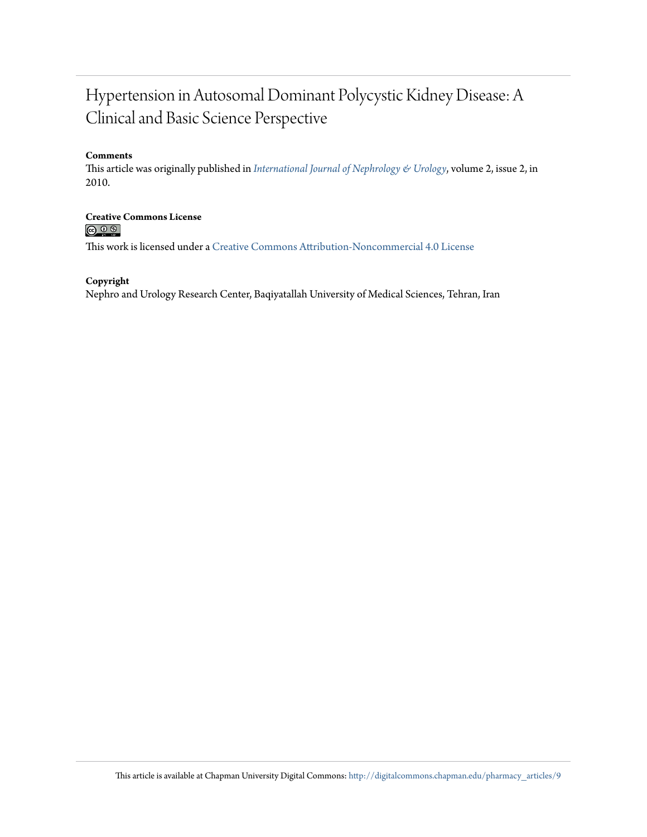## Hypertension in Autosomal Dominant Polycystic Kidney Disease: A Clinical and Basic Science Perspective

#### **Comments**

This article was originally published in *[International Journal of Nephrology & Urology](http://numonthly.com/?page=article&article_id=832)*, volume 2, issue 2, in 2010.

**Creative Commons License**  $\circledcirc$ 

This work is licensed under a [Creative Commons Attribution-Noncommercial 4.0 License](http://creativecommons.org/licenses/by-nc/4.0/)

#### **Copyright**

Nephro and Urology Research Center, Baqiyatallah University of Medical Sciences, Tehran, Iran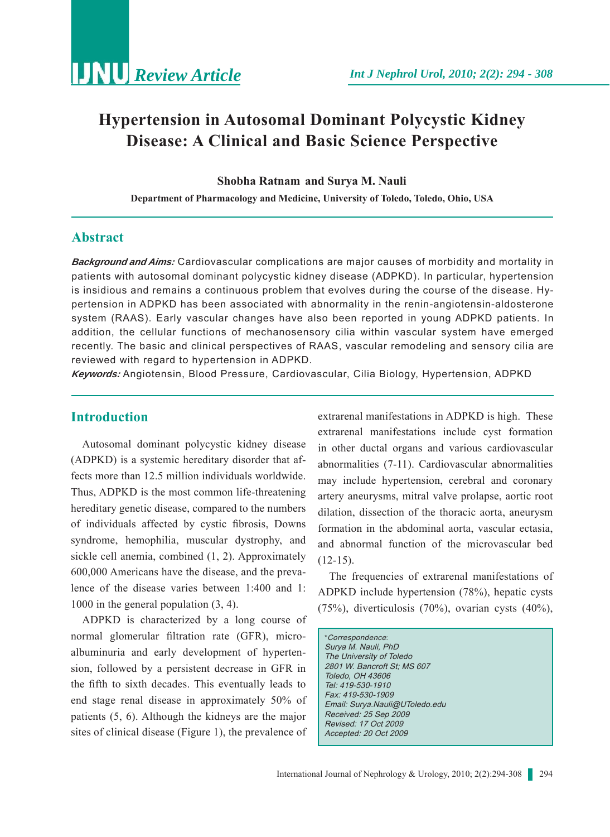## **Hypertension in Autosomal Dominant Polycystic Kidney Disease: A Clinical and Basic Science Perspective**

**Shobha Ratnam and Surya M. Nauli**

**Department of Pharmacology and Medicine, University of Toledo, Toledo, Ohio, USA**

## **Abstract**

*Background and Aims:* Cardiovascular complications are major causes of morbidity and mortality in patients with autosomal dominant polycystic kidney disease (ADPKD). In particular, hypertension is insidious and remains a continuous problem that evolves during the course of the disease. Hypertension in ADPKD has been associated with abnormality in the renin-angiotensin-aldosterone system (RAAS). Early vascular changes have also been reported in young ADPKD patients. In addition, the cellular functions of mechanosensory cilia within vascular system have emerged recently. The basic and clinical perspectives of RAAS, vascular remodeling and sensory cilia are reviewed with regard to hypertension in ADPKD.

*Keywords:* Angiotensin, Blood Pressure, Cardiovascular, Cilia Biology, Hypertension, ADPKD

## **Introduction**

Autosomal dominant polycystic kidney disease (ADPKD) is a systemic hereditary disorder that affects more than 12.5 million individuals worldwide. Thus, ADPKD is the most common life-threatening hereditary genetic disease, compared to the numbers of individuals affected by cystic fibrosis, Downs syndrome, hemophilia, muscular dystrophy, and sickle cell anemia, combined (1, 2). Approximately 600,000 Americans have the disease, and the prevalence of the disease varies between 1:400 and 1: 1000 in the general population (3, 4).

ADPKD is characterized by a long course of normal glomerular filtration rate (GFR), microalbuminuria and early development of hypertension, followed by a persistent decrease in GFR in the fifth to sixth decades. This eventually leads to end stage renal disease in approximately 50% of patients (5, 6). Although the kidneys are the major sites of clinical disease (Figure 1), the prevalence of extrarenal manifestations in ADPKD is high. These extrarenal manifestations include cyst formation in other ductal organs and various cardiovascular abnormalities (7-11). Cardiovascular abnormalities may include hypertension, cerebral and coronary artery aneurysms, mitral valve prolapse, aortic root dilation, dissection of the thoracic aorta, aneurysm formation in the abdominal aorta, vascular ectasia, and abnormal function of the microvascular bed  $(12-15)$ .

The frequencies of extrarenal manifestations of ADPKD include hypertension (78%), hepatic cysts (75%), diverticulosis (70%), ovarian cysts (40%),

\*Correspondence: Surya M. Nauli, PhD The University of Toledo 2801 W. Bancroft St; MS 607 Toledo, OH 43606 Tel: 419-530-1910 Fax: 419-530-1909 Email: Surya.Nauli@UToledo.edu Received: 25 Sep 2009 Revised: 17 Oct 2009 Accepted: 20 Oct 2009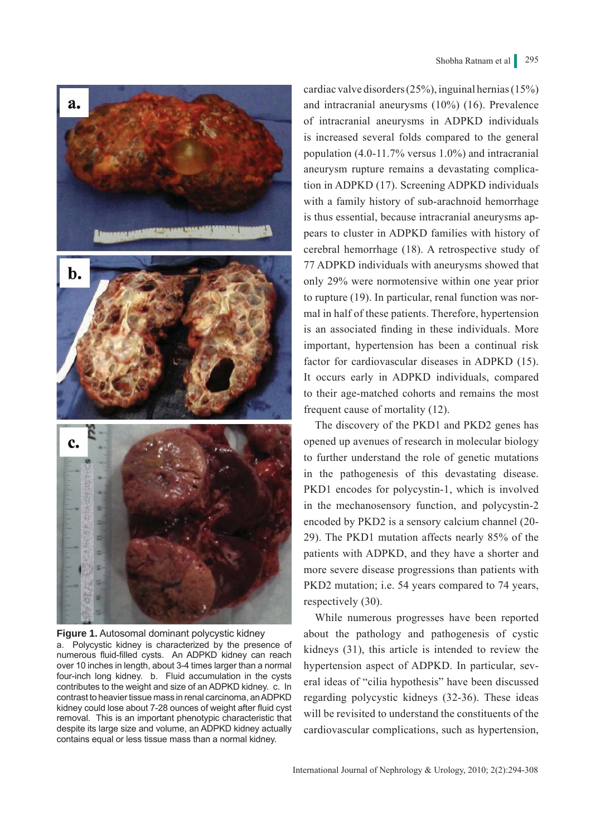

**Figure 1.** Autosomal dominant polycystic kidney a. Polycystic kidney is characterized by the presence of numerous fluid-filled cysts. An ADPKD kidney can reach over 10 inches in length, about 3-4 times larger than a normal four-inch long kidney. b. Fluid accumulation in the cysts contributes to the weight and size of an ADPKD kidney. c. In contrast to heavier tissue mass in renal carcinoma, an ADPKD kidney could lose about 7-28 ounces of weight after fluid cyst removal. This is an important phenotypic characteristic that despite its large size and volume, an ADPKD kidney actually contains equal or less tissue mass than a normal kidney.

cardiac valve disorders (25%), inguinal hernias (15%) and intracranial aneurysms (10%) (16). Prevalence of intracranial aneurysms in ADPKD individuals is increased several folds compared to the general population (4.0-11.7% versus 1.0%) and intracranial aneurysm rupture remains a devastating complication in ADPKD (17). Screening ADPKD individuals with a family history of sub-arachnoid hemorrhage is thus essential, because intracranial aneurysms appears to cluster in ADPKD families with history of cerebral hemorrhage (18). A retrospective study of 77 ADPKD individuals with aneurysms showed that only 29% were normotensive within one year prior to rupture (19). In particular, renal function was normal in half of these patients. Therefore, hypertension is an associated finding in these individuals. More important, hypertension has been a continual risk factor for cardiovascular diseases in ADPKD (15). It occurs early in ADPKD individuals, compared to their age-matched cohorts and remains the most frequent cause of mortality (12).

The discovery of the PKD1 and PKD2 genes has opened up avenues of research in molecular biology to further understand the role of genetic mutations in the pathogenesis of this devastating disease. PKD1 encodes for polycystin-1, which is involved in the mechanosensory function, and polycystin-2 encoded by PKD2 is a sensory calcium channel (20- 29). The PKD1 mutation affects nearly 85% of the patients with ADPKD, and they have a shorter and more severe disease progressions than patients with PKD2 mutation; i.e. 54 years compared to 74 years, respectively (30).

While numerous progresses have been reported about the pathology and pathogenesis of cystic kidneys (31), this article is intended to review the hypertension aspect of ADPKD. In particular, several ideas of "cilia hypothesis" have been discussed regarding polycystic kidneys (32-36). These ideas will be revisited to understand the constituents of the cardiovascular complications, such as hypertension,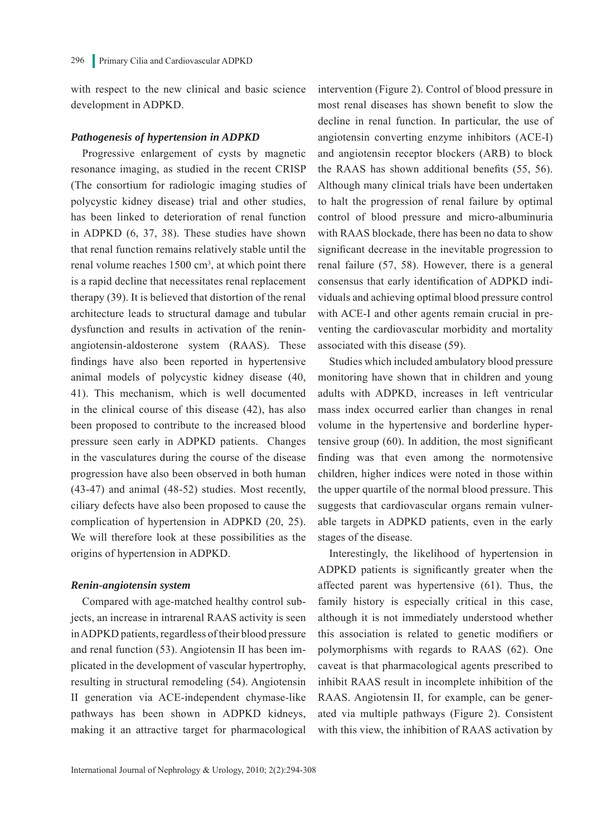with respect to the new clinical and basic science development in ADPKD.

#### *Pathogenesis of hypertension in ADPKD*

Progressive enlargement of cysts by magnetic resonance imaging, as studied in the recent CRISP (The consortium for radiologic imaging studies of polycystic kidney disease) trial and other studies, has been linked to deterioration of renal function in ADPKD (6, 37, 38). These studies have shown that renal function remains relatively stable until the renal volume reaches 1500 cm<sup>3</sup>, at which point there is a rapid decline that necessitates renal replacement therapy (39). It is believed that distortion of the renal architecture leads to structural damage and tubular dysfunction and results in activation of the reninangiotensin-aldosterone system (RAAS). These findings have also been reported in hypertensive animal models of polycystic kidney disease (40, 41). This mechanism, which is well documented in the clinical course of this disease (42), has also been proposed to contribute to the increased blood pressure seen early in ADPKD patients. Changes in the vasculatures during the course of the disease progression have also been observed in both human (43-47) and animal (48-52) studies. Most recently, ciliary defects have also been proposed to cause the complication of hypertension in ADPKD (20, 25). We will therefore look at these possibilities as the origins of hypertension in ADPKD.

#### *Renin-angiotensin system*

Compared with age-matched healthy control subjects, an increase in intrarenal RAAS activity is seen in ADPKD patients, regardless of their blood pressure and renal function (53). Angiotensin II has been implicated in the development of vascular hypertrophy, resulting in structural remodeling (54). Angiotensin II generation via ACE-independent chymase-like pathways has been shown in ADPKD kidneys, making it an attractive target for pharmacological intervention (Figure 2). Control of blood pressure in most renal diseases has shown benefit to slow the decline in renal function. In particular, the use of angiotensin converting enzyme inhibitors (ACE-I) and angiotensin receptor blockers (ARB) to block the RAAS has shown additional benefits (55, 56). Although many clinical trials have been undertaken to halt the progression of renal failure by optimal control of blood pressure and micro-albuminuria with RAAS blockade, there has been no data to show significant decrease in the inevitable progression to renal failure (57, 58). However, there is a general consensus that early identification of ADPKD individuals and achieving optimal blood pressure control with ACE-I and other agents remain crucial in preventing the cardiovascular morbidity and mortality associated with this disease (59).

Studies which included ambulatory blood pressure monitoring have shown that in children and young adults with ADPKD, increases in left ventricular mass index occurred earlier than changes in renal volume in the hypertensive and borderline hypertensive group (60). In addition, the most significant finding was that even among the normotensive children, higher indices were noted in those within the upper quartile of the normal blood pressure. This suggests that cardiovascular organs remain vulnerable targets in ADPKD patients, even in the early stages of the disease.

Interestingly, the likelihood of hypertension in ADPKD patients is significantly greater when the affected parent was hypertensive (61). Thus, the family history is especially critical in this case, although it is not immediately understood whether this association is related to genetic modifiers or polymorphisms with regards to RAAS (62). One caveat is that pharmacological agents prescribed to inhibit RAAS result in incomplete inhibition of the RAAS. Angiotensin II, for example, can be generated via multiple pathways (Figure 2). Consistent with this view, the inhibition of RAAS activation by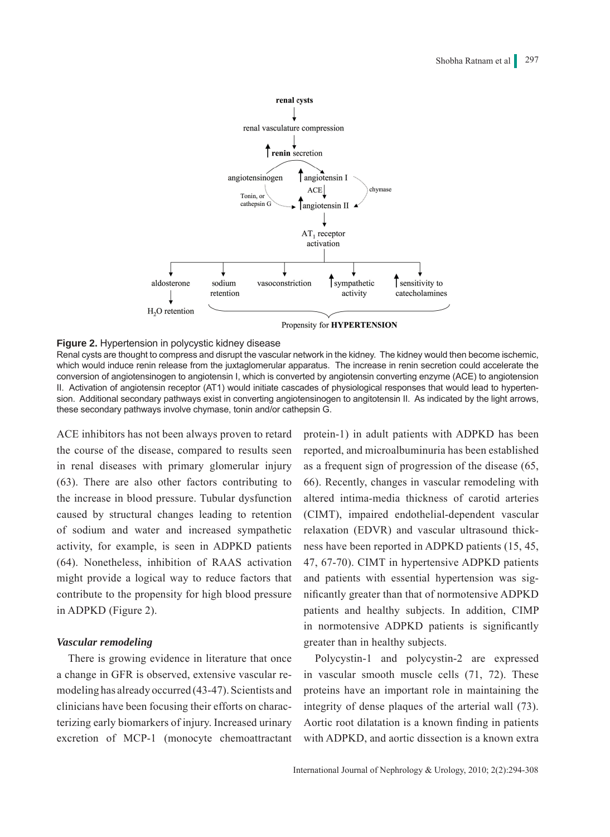

#### **Figure 2.** Hypertension in polycystic kidney disease

Renal cysts are thought to compress and disrupt the vascular network in the kidney. The kidney would then become ischemic, which would induce renin release from the juxtaglomerular apparatus. The increase in renin secretion could accelerate the conversion of angiotensinogen to angiotensin I, which is converted by angiotensin converting enzyme (ACE) to angiotension II. Activation of angiotensin receptor (AT1) would initiate cascades of physiological responses that would lead to hypertension. Additional secondary pathways exist in converting angiotensinogen to angitotensin II. As indicated by the light arrows, these secondary pathways involve chymase, tonin and/or cathepsin G.

ACE inhibitors has not been always proven to retard the course of the disease, compared to results seen in renal diseases with primary glomerular injury (63). There are also other factors contributing to the increase in blood pressure. Tubular dysfunction caused by structural changes leading to retention of sodium and water and increased sympathetic activity, for example, is seen in ADPKD patients (64). Nonetheless, inhibition of RAAS activation might provide a logical way to reduce factors that contribute to the propensity for high blood pressure in ADPKD (Figure 2).

#### *Vascular remodeling*

There is growing evidence in literature that once a change in GFR is observed, extensive vascular remodeling has already occurred (43-47). Scientists and clinicians have been focusing their efforts on characterizing early biomarkers of injury. Increased urinary excretion of MCP-1 (monocyte chemoattractant protein-1) in adult patients with ADPKD has been reported, and microalbuminuria has been established as a frequent sign of progression of the disease (65, 66). Recently, changes in vascular remodeling with altered intima-media thickness of carotid arteries (CIMT), impaired endothelial-dependent vascular relaxation (EDVR) and vascular ultrasound thickness have been reported in ADPKD patients (15, 45, 47, 67-70). CIMT in hypertensive ADPKD patients and patients with essential hypertension was significantly greater than that of normotensive ADPKD patients and healthy subjects. In addition, CIMP in normotensive ADPKD patients is significantly greater than in healthy subjects.

Polycystin-1 and polycystin-2 are expressed in vascular smooth muscle cells (71, 72). These proteins have an important role in maintaining the integrity of dense plaques of the arterial wall (73). Aortic root dilatation is a known finding in patients with ADPKD, and aortic dissection is a known extra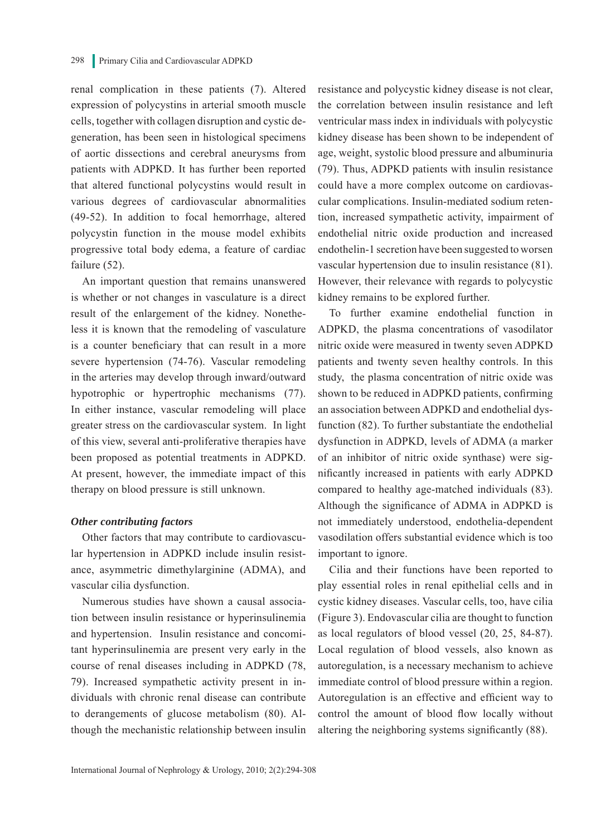renal complication in these patients (7). Altered expression of polycystins in arterial smooth muscle cells, together with collagen disruption and cystic degeneration, has been seen in histological specimens of aortic dissections and cerebral aneurysms from patients with ADPKD. It has further been reported that altered functional polycystins would result in various degrees of cardiovascular abnormalities (49-52). In addition to focal hemorrhage, altered polycystin function in the mouse model exhibits progressive total body edema, a feature of cardiac failure (52).

An important question that remains unanswered is whether or not changes in vasculature is a direct result of the enlargement of the kidney. Nonetheless it is known that the remodeling of vasculature is a counter beneficiary that can result in a more severe hypertension (74-76). Vascular remodeling in the arteries may develop through inward/outward hypotrophic or hypertrophic mechanisms (77). In either instance, vascular remodeling will place greater stress on the cardiovascular system. In light of this view, several anti-proliferative therapies have been proposed as potential treatments in ADPKD. At present, however, the immediate impact of this therapy on blood pressure is still unknown.

#### *Other contributing factors*

Other factors that may contribute to cardiovascular hypertension in ADPKD include insulin resistance, asymmetric dimethylarginine (ADMA), and vascular cilia dysfunction.

Numerous studies have shown a causal association between insulin resistance or hyperinsulinemia and hypertension. Insulin resistance and concomitant hyperinsulinemia are present very early in the course of renal diseases including in ADPKD (78, 79). Increased sympathetic activity present in individuals with chronic renal disease can contribute to derangements of glucose metabolism (80). Although the mechanistic relationship between insulin resistance and polycystic kidney disease is not clear, the correlation between insulin resistance and left ventricular mass index in individuals with polycystic kidney disease has been shown to be independent of age, weight, systolic blood pressure and albuminuria (79). Thus, ADPKD patients with insulin resistance could have a more complex outcome on cardiovascular complications. Insulin-mediated sodium retention, increased sympathetic activity, impairment of endothelial nitric oxide production and increased endothelin-1 secretion have been suggested to worsen vascular hypertension due to insulin resistance (81). However, their relevance with regards to polycystic kidney remains to be explored further.

To further examine endothelial function in ADPKD, the plasma concentrations of vasodilator nitric oxide were measured in twenty seven ADPKD patients and twenty seven healthy controls. In this study, the plasma concentration of nitric oxide was shown to be reduced in ADPKD patients, confirming an association between ADPKD and endothelial dysfunction (82). To further substantiate the endothelial dysfunction in ADPKD, levels of ADMA (a marker of an inhibitor of nitric oxide synthase) were significantly increased in patients with early ADPKD compared to healthy age-matched individuals (83). Although the significance of ADMA in ADPKD is not immediately understood, endothelia-dependent vasodilation offers substantial evidence which is too important to ignore.

Cilia and their functions have been reported to play essential roles in renal epithelial cells and in cystic kidney diseases. Vascular cells, too, have cilia (Figure 3). Endovascular cilia are thought to function as local regulators of blood vessel (20, 25, 84-87). Local regulation of blood vessels, also known as autoregulation, is a necessary mechanism to achieve immediate control of blood pressure within a region. Autoregulation is an effective and efficient way to control the amount of blood flow locally without altering the neighboring systems significantly (88).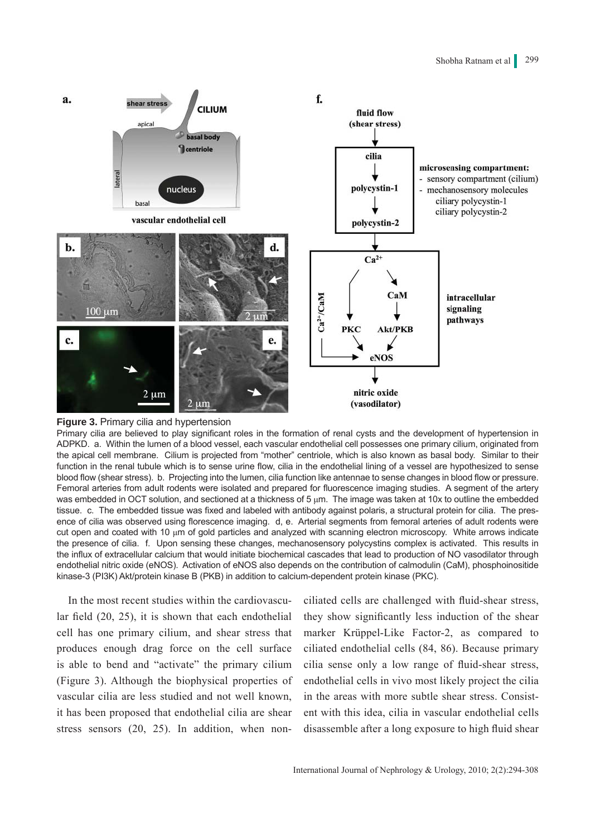



Primary cilia are believed to play significant roles in the formation of renal cysts and the development of hypertension in ADPKD. a. Within the lumen of a blood vessel, each vascular endothelial cell possesses one primary cilium, originated from the apical cell membrane. Cilium is projected from "mother" centriole, which is also known as basal body. Similar to their function in the renal tubule which is to sense urine flow, cilia in the endothelial lining of a vessel are hypothesized to sense blood flow (shear stress). b. Projecting into the lumen, cilia function like antennae to sense changes in blood flow or pressure. Femoral arteries from adult rodents were isolated and prepared for fluorescence imaging studies. A segment of the artery was embedded in OCT solution, and sectioned at a thickness of 5 μm. The image was taken at 10x to outline the embedded tissue. c. The embedded tissue was fixed and labeled with antibody against polaris, a structural protein for cilia. The presence of cilia was observed using florescence imaging. d, e. Arterial segments from femoral arteries of adult rodents were cut open and coated with 10 μm of gold particles and analyzed with scanning electron microscopy. White arrows indicate the presence of cilia. f. Upon sensing these changes, mechanosensory polycystins complex is activated. This results in the influx of extracellular calcium that would initiate biochemical cascades that lead to production of NO vasodilator through endothelial nitric oxide (eNOS). Activation of eNOS also depends on the contribution of calmodulin (CaM), phosphoinositide kinase-3 (PI3K) Akt/protein kinase B (PKB) in addition to calcium-dependent protein kinase (PKC).

In the most recent studies within the cardiovascular field (20, 25), it is shown that each endothelial cell has one primary cilium, and shear stress that produces enough drag force on the cell surface is able to bend and "activate" the primary cilium (Figure 3). Although the biophysical properties of vascular cilia are less studied and not well known, it has been proposed that endothelial cilia are shear stress sensors (20, 25). In addition, when nonciliated cells are challenged with fluid-shear stress, they show significantly less induction of the shear marker Krüppel-Like Factor-2, as compared to ciliated endothelial cells (84, 86). Because primary cilia sense only a low range of fluid-shear stress, endothelial cells in vivo most likely project the cilia in the areas with more subtle shear stress. Consistent with this idea, cilia in vascular endothelial cells disassemble after a long exposure to high fluid shear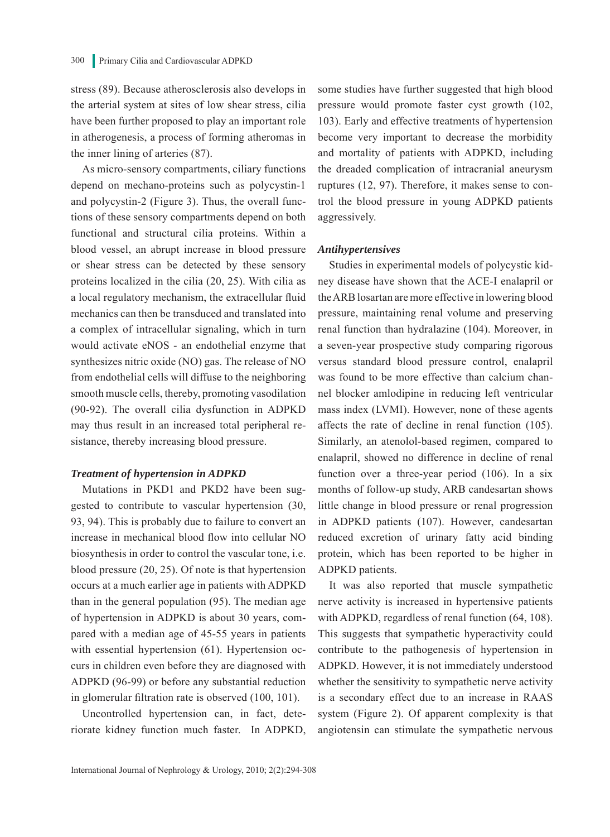stress (89). Because atherosclerosis also develops in the arterial system at sites of low shear stress, cilia have been further proposed to play an important role in atherogenesis, a process of forming atheromas in the inner lining of arteries (87).

As micro-sensory compartments, ciliary functions depend on mechano-proteins such as polycystin-1 and polycystin-2 (Figure 3). Thus, the overall functions of these sensory compartments depend on both functional and structural cilia proteins. Within a blood vessel, an abrupt increase in blood pressure or shear stress can be detected by these sensory proteins localized in the cilia (20, 25). With cilia as a local regulatory mechanism, the extracellular fluid mechanics can then be transduced and translated into a complex of intracellular signaling, which in turn would activate eNOS - an endothelial enzyme that synthesizes nitric oxide (NO) gas. The release of NO from endothelial cells will diffuse to the neighboring smooth muscle cells, thereby, promoting vasodilation (90-92). The overall cilia dysfunction in ADPKD may thus result in an increased total peripheral resistance, thereby increasing blood pressure.

#### *Treatment of hypertension in ADPKD*

Mutations in PKD1 and PKD2 have been suggested to contribute to vascular hypertension (30, 93, 94). This is probably due to failure to convert an increase in mechanical blood flow into cellular NO biosynthesis in order to control the vascular tone, i.e. blood pressure (20, 25). Of note is that hypertension occurs at a much earlier age in patients with ADPKD than in the general population (95). The median age of hypertension in ADPKD is about 30 years, compared with a median age of 45-55 years in patients with essential hypertension (61). Hypertension occurs in children even before they are diagnosed with ADPKD (96-99) or before any substantial reduction in glomerular filtration rate is observed (100, 101).

Uncontrolled hypertension can, in fact, deteriorate kidney function much faster. In ADPKD, some studies have further suggested that high blood pressure would promote faster cyst growth (102, 103). Early and effective treatments of hypertension become very important to decrease the morbidity and mortality of patients with ADPKD, including the dreaded complication of intracranial aneurysm ruptures (12, 97). Therefore, it makes sense to control the blood pressure in young ADPKD patients aggressively.

#### *Antihypertensives*

Studies in experimental models of polycystic kidney disease have shown that the ACE-I enalapril or the ARB losartan are more effective in lowering blood pressure, maintaining renal volume and preserving renal function than hydralazine (104). Moreover, in a seven-year prospective study comparing rigorous versus standard blood pressure control, enalapril was found to be more effective than calcium channel blocker amlodipine in reducing left ventricular mass index (LVMI). However, none of these agents affects the rate of decline in renal function (105). Similarly, an atenolol-based regimen, compared to enalapril, showed no difference in decline of renal function over a three-year period (106). In a six months of follow-up study, ARB candesartan shows little change in blood pressure or renal progression in ADPKD patients (107). However, candesartan reduced excretion of urinary fatty acid binding protein, which has been reported to be higher in ADPKD patients.

It was also reported that muscle sympathetic nerve activity is increased in hypertensive patients with ADPKD, regardless of renal function (64, 108). This suggests that sympathetic hyperactivity could contribute to the pathogenesis of hypertension in ADPKD. However, it is not immediately understood whether the sensitivity to sympathetic nerve activity is a secondary effect due to an increase in RAAS system (Figure 2). Of apparent complexity is that angiotensin can stimulate the sympathetic nervous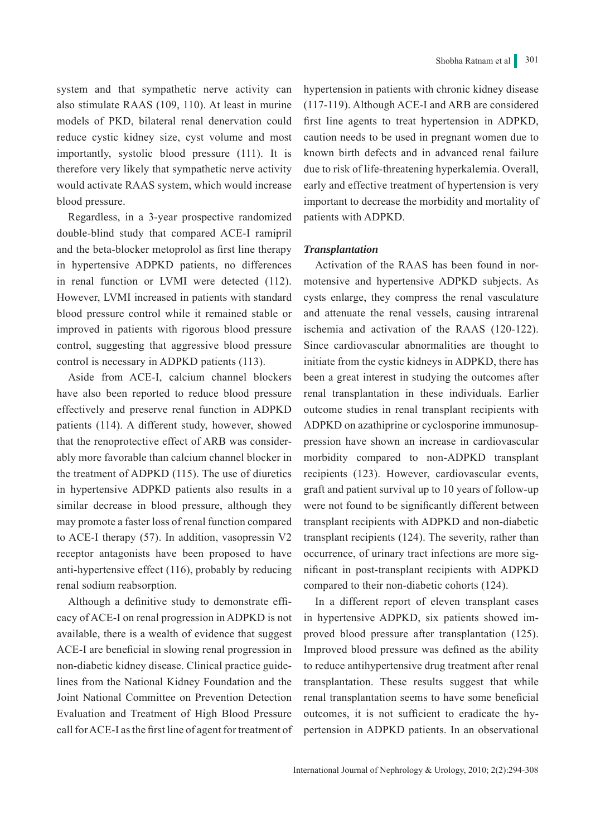system and that sympathetic nerve activity can also stimulate RAAS (109, 110). At least in murine models of PKD, bilateral renal denervation could reduce cystic kidney size, cyst volume and most importantly, systolic blood pressure (111). It is therefore very likely that sympathetic nerve activity would activate RAAS system, which would increase blood pressure.

Regardless, in a 3-year prospective randomized double-blind study that compared ACE-I ramipril and the beta-blocker metoprolol as first line therapy in hypertensive ADPKD patients, no differences in renal function or LVMI were detected (112). However, LVMI increased in patients with standard blood pressure control while it remained stable or improved in patients with rigorous blood pressure control, suggesting that aggressive blood pressure control is necessary in ADPKD patients (113).

Aside from ACE-I, calcium channel blockers have also been reported to reduce blood pressure effectively and preserve renal function in ADPKD patients (114). A different study, however, showed that the renoprotective effect of ARB was considerably more favorable than calcium channel blocker in the treatment of ADPKD (115). The use of diuretics in hypertensive ADPKD patients also results in a similar decrease in blood pressure, although they may promote a faster loss of renal function compared to ACE-I therapy (57). In addition, vasopressin V2 receptor antagonists have been proposed to have anti-hypertensive effect (116), probably by reducing renal sodium reabsorption.

Although a definitive study to demonstrate efficacy of ACE-I on renal progression in ADPKD is not available, there is a wealth of evidence that suggest ACE-I are beneficial in slowing renal progression in non-diabetic kidney disease. Clinical practice guidelines from the National Kidney Foundation and the Joint National Committee on Prevention Detection Evaluation and Treatment of High Blood Pressure call for ACE-I as the first line of agent for treatment of hypertension in patients with chronic kidney disease (117-119). Although ACE-I and ARB are considered first line agents to treat hypertension in ADPKD, caution needs to be used in pregnant women due to known birth defects and in advanced renal failure due to risk of life-threatening hyperkalemia. Overall, early and effective treatment of hypertension is very important to decrease the morbidity and mortality of patients with ADPKD.

#### *Transplantation*

Activation of the RAAS has been found in normotensive and hypertensive ADPKD subjects. As cysts enlarge, they compress the renal vasculature and attenuate the renal vessels, causing intrarenal ischemia and activation of the RAAS (120-122). Since cardiovascular abnormalities are thought to initiate from the cystic kidneys in ADPKD, there has been a great interest in studying the outcomes after renal transplantation in these individuals. Earlier outcome studies in renal transplant recipients with ADPKD on azathiprine or cyclosporine immunosuppression have shown an increase in cardiovascular morbidity compared to non-ADPKD transplant recipients (123). However, cardiovascular events, graft and patient survival up to 10 years of follow-up were not found to be significantly different between transplant recipients with ADPKD and non-diabetic transplant recipients (124). The severity, rather than occurrence, of urinary tract infections are more significant in post-transplant recipients with ADPKD compared to their non-diabetic cohorts (124).

In a different report of eleven transplant cases in hypertensive ADPKD, six patients showed improved blood pressure after transplantation (125). Improved blood pressure was defined as the ability to reduce antihypertensive drug treatment after renal transplantation. These results suggest that while renal transplantation seems to have some beneficial outcomes, it is not sufficient to eradicate the hypertension in ADPKD patients. In an observational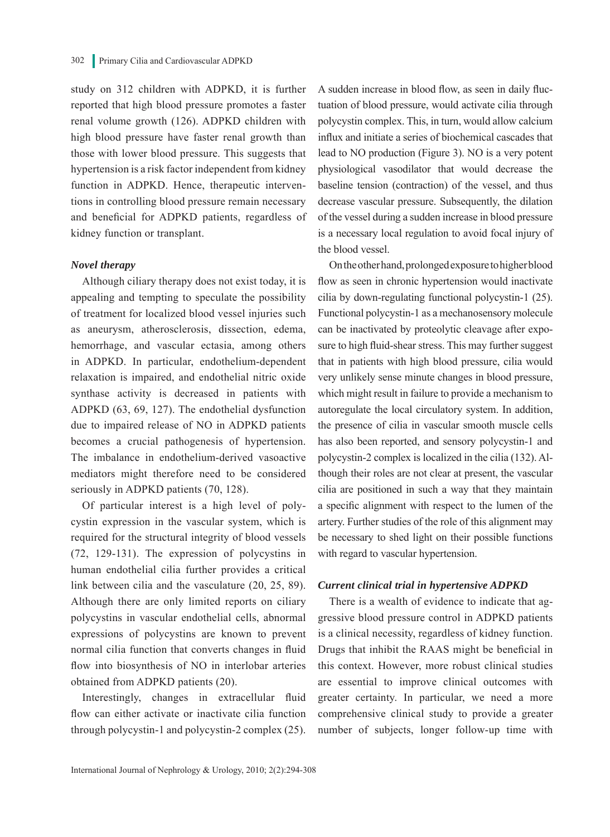study on 312 children with ADPKD, it is further reported that high blood pressure promotes a faster renal volume growth (126). ADPKD children with high blood pressure have faster renal growth than those with lower blood pressure. This suggests that hypertension is a risk factor independent from kidney function in ADPKD. Hence, therapeutic interventions in controlling blood pressure remain necessary and beneficial for ADPKD patients, regardless of kidney function or transplant.

#### *Novel therapy*

Although ciliary therapy does not exist today, it is appealing and tempting to speculate the possibility of treatment for localized blood vessel injuries such as aneurysm, atherosclerosis, dissection, edema, hemorrhage, and vascular ectasia, among others in ADPKD. In particular, endothelium-dependent relaxation is impaired, and endothelial nitric oxide synthase activity is decreased in patients with ADPKD (63, 69, 127). The endothelial dysfunction due to impaired release of NO in ADPKD patients becomes a crucial pathogenesis of hypertension. The imbalance in endothelium-derived vasoactive mediators might therefore need to be considered seriously in ADPKD patients (70, 128).

Of particular interest is a high level of polycystin expression in the vascular system, which is required for the structural integrity of blood vessels (72, 129-131). The expression of polycystins in human endothelial cilia further provides a critical link between cilia and the vasculature (20, 25, 89). Although there are only limited reports on ciliary polycystins in vascular endothelial cells, abnormal expressions of polycystins are known to prevent normal cilia function that converts changes in fluid flow into biosynthesis of NO in interlobar arteries obtained from ADPKD patients (20).

Interestingly, changes in extracellular fluid flow can either activate or inactivate cilia function through polycystin-1 and polycystin-2 complex (25). A sudden increase in blood flow, as seen in daily fluctuation of blood pressure, would activate cilia through polycystin complex. This, in turn, would allow calcium influx and initiate a series of biochemical cascades that lead to NO production (Figure 3). NO is a very potent physiological vasodilator that would decrease the baseline tension (contraction) of the vessel, and thus decrease vascular pressure. Subsequently, the dilation of the vessel during a sudden increase in blood pressure is a necessary local regulation to avoid focal injury of the blood vessel.

On the other hand, prolonged exposure to higher blood flow as seen in chronic hypertension would inactivate cilia by down-regulating functional polycystin-1 (25). Functional polycystin-1 as a mechanosensory molecule can be inactivated by proteolytic cleavage after exposure to high fluid-shear stress. This may further suggest that in patients with high blood pressure, cilia would very unlikely sense minute changes in blood pressure, which might result in failure to provide a mechanism to autoregulate the local circulatory system. In addition, the presence of cilia in vascular smooth muscle cells has also been reported, and sensory polycystin-1 and polycystin-2 complex is localized in the cilia (132). Although their roles are not clear at present, the vascular cilia are positioned in such a way that they maintain a specific alignment with respect to the lumen of the artery. Further studies of the role of this alignment may be necessary to shed light on their possible functions with regard to vascular hypertension.

#### *Current clinical trial in hypertensive ADPKD*

There is a wealth of evidence to indicate that aggressive blood pressure control in ADPKD patients is a clinical necessity, regardless of kidney function. Drugs that inhibit the RAAS might be beneficial in this context. However, more robust clinical studies are essential to improve clinical outcomes with greater certainty. In particular, we need a more comprehensive clinical study to provide a greater number of subjects, longer follow-up time with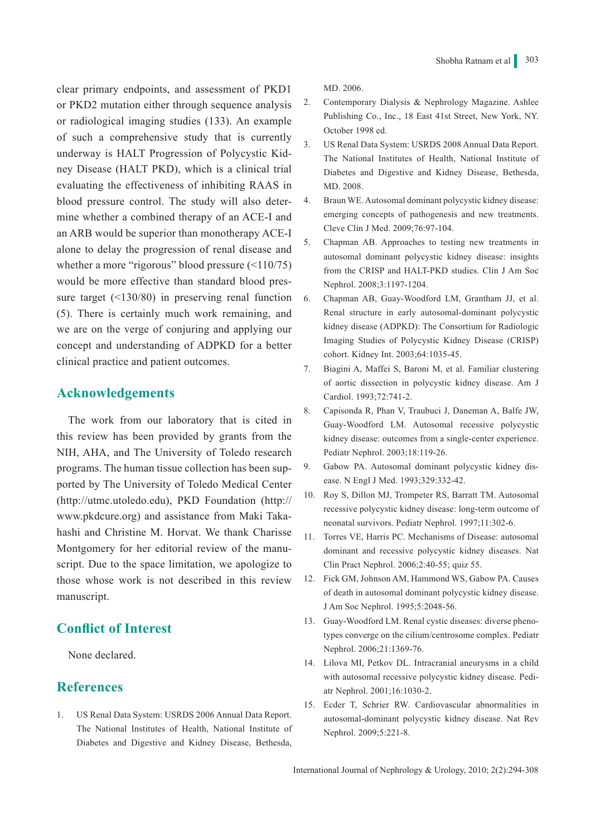clear primary endpoints, and assessment of PKD1 or PKD2 mutation either through sequence analysis or radiological imaging studies (133). An example of such a comprehensive study that is currently underway is HALT Progression of Polycystic Kidney Disease (HALT PKD), which is a clinical trial evaluating the effectiveness of inhibiting RAAS in blood pressure control. The study will also determine whether a combined therapy of an ACE-I and an ARB would be superior than monotherapy ACE-I alone to delay the progression of renal disease and whether a more "rigorous" blood pressure (<110/75) would be more effective than standard blood pressure target (<130/80) in preserving renal function (5). There is certainly much work remaining, and we are on the verge of conjuring and applying our concept and understanding of ADPKD for a better clinical practice and patient outcomes.

## **Acknowledgements**

The work from our laboratory that is cited in this review has been provided by grants from the NIH, AHA, and The University of Toledo research programs. The human tissue collection has been supported by The University of Toledo Medical Center (http://utmc.utoledo.edu), PKD Foundation (http:// www.pkdcure.org) and assistance from Maki Takahashi and Christine M. Horvat. We thank Charisse Montgomery for her editorial review of the manuscript. Due to the space limitation, we apologize to those whose work is not described in this review manuscript.

## **Conflict of Interest**

None declared.

### **References**

1. US Renal Data System: USRDS 2006 Annual Data Report. The National Institutes of Health, National Institute of Diabetes and Digestive and Kidney Disease, Bethesda,

MD. 2006.

- 2. Contemporary Dialysis & Nephrology Magazine. Ashlee Publishing Co., Inc., 18 East 41st Street, New York, NY. October 1998 ed.
- 3. US Renal Data System: USRDS 2008 Annual Data Report. The National Institutes of Health, National Institute of Diabetes and Digestive and Kidney Disease, Bethesda, MD. 2008.
- 4. Braun WE. Autosomal dominant polycystic kidney disease: emerging concepts of pathogenesis and new treatments. Cleve Clin J Med. 2009;76:97-104.
- 5. Chapman AB. Approaches to testing new treatments in autosomal dominant polycystic kidney disease: insights from the CRISP and HALT-PKD studies. Clin J Am Soc Nephrol. 2008;3:1197-1204.
- 6. Chapman AB, Guay-Woodford LM, Grantham JJ, et al. Renal structure in early autosomal-dominant polycystic kidney disease (ADPKD): The Consortium for Radiologic Imaging Studies of Polycystic Kidney Disease (CRISP) cohort. Kidney Int. 2003;64:1035-45.
- 7. Biagini A, Maffei S, Baroni M, et al. Familiar clustering of aortic dissection in polycystic kidney disease. Am J Cardiol. 1993;72:741-2.
- 8. Capisonda R, Phan V, Traubuci J, Daneman A, Balfe JW, Guay-Woodford LM. Autosomal recessive polycystic kidney disease: outcomes from a single-center experience. Pediatr Nephrol. 2003;18:119-26.
- 9. Gabow PA. Autosomal dominant polycystic kidney disease. N Engl J Med. 1993;329:332-42.
- 10. Roy S, Dillon MJ, Trompeter RS, Barratt TM. Autosomal recessive polycystic kidney disease: long-term outcome of neonatal survivors. Pediatr Nephrol. 1997;11:302-6.
- 11. Torres VE, Harris PC. Mechanisms of Disease: autosomal dominant and recessive polycystic kidney diseases. Nat Clin Pract Nephrol. 2006;2:40-55; quiz 55.
- 12. Fick GM, Johnson AM, Hammond WS, Gabow PA. Causes of death in autosomal dominant polycystic kidney disease. J Am Soc Nephrol. 1995;5:2048-56.
- 13. Guay-Woodford LM. Renal cystic diseases: diverse phenotypes converge on the cilium/centrosome complex. Pediatr Nephrol. 2006;21:1369-76.
- 14. Lilova MI, Petkov DL. Intracranial aneurysms in a child with autosomal recessive polycystic kidney disease. Pediatr Nephrol. 2001;16:1030-2.
- 15. Ecder T, Schrier RW. Cardiovascular abnormalities in autosomal-dominant polycystic kidney disease. Nat Rev Nephrol. 2009;5:221-8.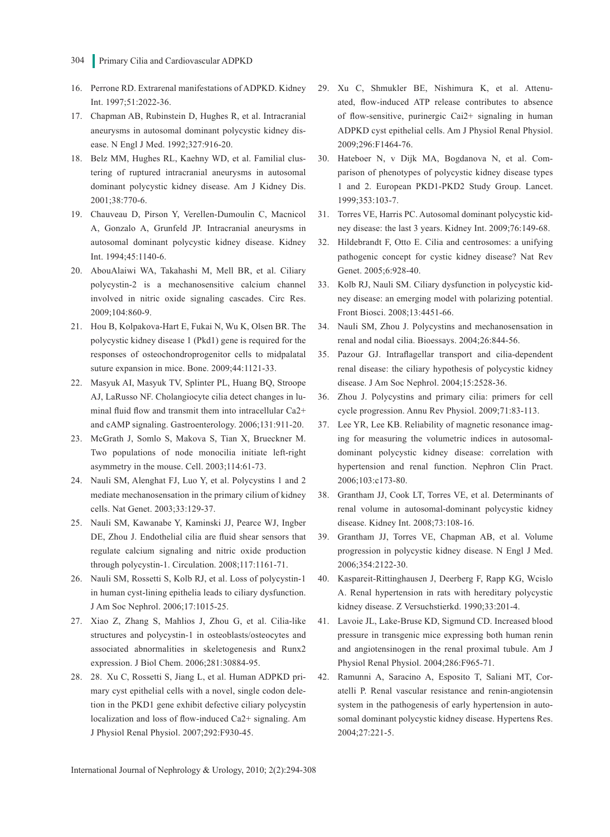- 304 Primary Cilia and Cardiovascular ADPKD
- 16. Perrone RD. Extrarenal manifestations of ADPKD. Kidney Int. 1997;51:2022-36.
- 17. Chapman AB, Rubinstein D, Hughes R, et al. Intracranial aneurysms in autosomal dominant polycystic kidney disease. N Engl J Med. 1992;327:916-20.
- 18. Belz MM, Hughes RL, Kaehny WD, et al. Familial clustering of ruptured intracranial aneurysms in autosomal dominant polycystic kidney disease. Am J Kidney Dis. 2001;38:770-6.
- 19. Chauveau D, Pirson Y, Verellen-Dumoulin C, Macnicol A, Gonzalo A, Grunfeld JP. Intracranial aneurysms in autosomal dominant polycystic kidney disease. Kidney Int. 1994;45:1140-6.
- 20. AbouAlaiwi WA, Takahashi M, Mell BR, et al. Ciliary polycystin-2 is a mechanosensitive calcium channel involved in nitric oxide signaling cascades. Circ Res. 2009;104:860-9.
- 21. Hou B, Kolpakova-Hart E, Fukai N, Wu K, Olsen BR. The polycystic kidney disease 1 (Pkd1) gene is required for the responses of osteochondroprogenitor cells to midpalatal suture expansion in mice. Bone. 2009;44:1121-33.
- 22. Masyuk AI, Masyuk TV, Splinter PL, Huang BQ, Stroope AJ, LaRusso NF. Cholangiocyte cilia detect changes in luminal fluid flow and transmit them into intracellular Ca2+ and cAMP signaling. Gastroenterology. 2006;131:911-20.
- 23. McGrath J, Somlo S, Makova S, Tian X, Brueckner M. Two populations of node monocilia initiate left-right asymmetry in the mouse. Cell. 2003;114:61-73.
- 24. Nauli SM, Alenghat FJ, Luo Y, et al. Polycystins 1 and 2 mediate mechanosensation in the primary cilium of kidney cells. Nat Genet. 2003;33:129-37.
- 25. Nauli SM, Kawanabe Y, Kaminski JJ, Pearce WJ, Ingber DE, Zhou J. Endothelial cilia are fluid shear sensors that regulate calcium signaling and nitric oxide production through polycystin-1. Circulation. 2008;117:1161-71.
- 26. Nauli SM, Rossetti S, Kolb RJ, et al. Loss of polycystin-1 in human cyst-lining epithelia leads to ciliary dysfunction. J Am Soc Nephrol. 2006;17:1015-25.
- 27. Xiao Z, Zhang S, Mahlios J, Zhou G, et al. Cilia-like structures and polycystin-1 in osteoblasts/osteocytes and associated abnormalities in skeletogenesis and Runx2 expression. J Biol Chem. 2006;281:30884-95.
- 28. 28. Xu C, Rossetti S, Jiang L, et al. Human ADPKD primary cyst epithelial cells with a novel, single codon deletion in the PKD1 gene exhibit defective ciliary polycystin localization and loss of flow-induced Ca2+ signaling. Am J Physiol Renal Physiol. 2007;292:F930-45.
- 29. Xu C, Shmukler BE, Nishimura K, et al. Attenuated, flow-induced ATP release contributes to absence of flow-sensitive, purinergic Cai2+ signaling in human ADPKD cyst epithelial cells. Am J Physiol Renal Physiol. 2009;296:F1464-76.
- 30. Hateboer N, v Dijk MA, Bogdanova N, et al. Comparison of phenotypes of polycystic kidney disease types 1 and 2. European PKD1-PKD2 Study Group. Lancet. 1999;353:103-7.
- 31. Torres VE, Harris PC. Autosomal dominant polycystic kidney disease: the last 3 years. Kidney Int. 2009;76:149-68.
- 32. Hildebrandt F, Otto E. Cilia and centrosomes: a unifying pathogenic concept for cystic kidney disease? Nat Rev Genet. 2005;6:928-40.
- 33. Kolb RJ, Nauli SM. Ciliary dysfunction in polycystic kidney disease: an emerging model with polarizing potential. Front Biosci. 2008;13:4451-66.
- 34. Nauli SM, Zhou J. Polycystins and mechanosensation in renal and nodal cilia. Bioessays. 2004;26:844-56.
- 35. Pazour GJ. Intraflagellar transport and cilia-dependent renal disease: the ciliary hypothesis of polycystic kidney disease. J Am Soc Nephrol. 2004;15:2528-36.
- 36. Zhou J. Polycystins and primary cilia: primers for cell cycle progression. Annu Rev Physiol. 2009;71:83-113.
- 37. Lee YR, Lee KB. Reliability of magnetic resonance imaging for measuring the volumetric indices in autosomaldominant polycystic kidney disease: correlation with hypertension and renal function. Nephron Clin Pract. 2006;103:c173-80.
- 38. Grantham JJ, Cook LT, Torres VE, et al. Determinants of renal volume in autosomal-dominant polycystic kidney disease. Kidney Int. 2008;73:108-16.
- 39. Grantham JJ, Torres VE, Chapman AB, et al. Volume progression in polycystic kidney disease. N Engl J Med. 2006;354:2122-30.
- 40. Kaspareit-Rittinghausen J, Deerberg F, Rapp KG, Wcislo A. Renal hypertension in rats with hereditary polycystic kidney disease. Z Versuchstierkd. 1990;33:201-4.
- 41. Lavoie JL, Lake-Bruse KD, Sigmund CD. Increased blood pressure in transgenic mice expressing both human renin and angiotensinogen in the renal proximal tubule. Am J Physiol Renal Physiol. 2004;286:F965-71.
- 42. Ramunni A, Saracino A, Esposito T, Saliani MT, Coratelli P. Renal vascular resistance and renin-angiotensin system in the pathogenesis of early hypertension in autosomal dominant polycystic kidney disease. Hypertens Res. 2004;27:221-5.

International Journal of Nephrology & Urology, 2010; 2(2):294-308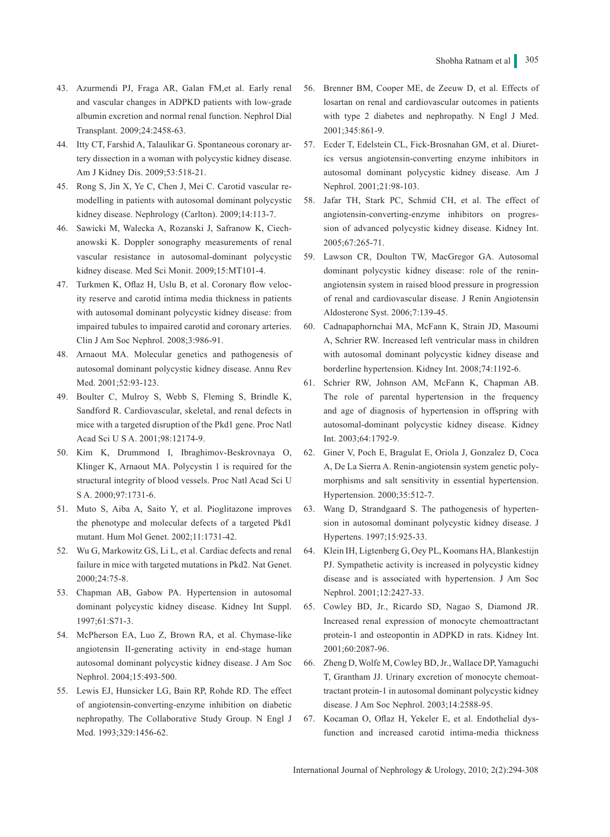- 43. Azurmendi PJ, Fraga AR, Galan FM,et al. Early renal and vascular changes in ADPKD patients with low-grade albumin excretion and normal renal function. Nephrol Dial Transplant. 2009;24:2458-63.
- 44. Itty CT, Farshid A, Talaulikar G. Spontaneous coronary artery dissection in a woman with polycystic kidney disease. Am J Kidney Dis. 2009;53:518-21.
- 45. Rong S, Jin X, Ye C, Chen J, Mei C. Carotid vascular remodelling in patients with autosomal dominant polycystic kidney disease. Nephrology (Carlton). 2009;14:113-7.
- 46. Sawicki M, Walecka A, Rozanski J, Safranow K, Ciechanowski K. Doppler sonography measurements of renal vascular resistance in autosomal-dominant polycystic kidney disease. Med Sci Monit. 2009;15:MT101-4.
- 47. Turkmen K, Oflaz H, Uslu B, et al. Coronary flow velocity reserve and carotid intima media thickness in patients with autosomal dominant polycystic kidney disease: from impaired tubules to impaired carotid and coronary arteries. Clin J Am Soc Nephrol. 2008;3:986-91.
- 48. Arnaout MA. Molecular genetics and pathogenesis of autosomal dominant polycystic kidney disease. Annu Rev Med. 2001;52:93-123.
- 49. Boulter C, Mulroy S, Webb S, Fleming S, Brindle K, Sandford R. Cardiovascular, skeletal, and renal defects in mice with a targeted disruption of the Pkd1 gene. Proc Natl Acad Sci U S A. 2001;98:12174-9.
- 50. Kim K, Drummond I, Ibraghimov-Beskrovnaya O, Klinger K, Arnaout MA. Polycystin 1 is required for the structural integrity of blood vessels. Proc Natl Acad Sci U S A. 2000;97:1731-6.
- 51. Muto S, Aiba A, Saito Y, et al. Pioglitazone improves the phenotype and molecular defects of a targeted Pkd1 mutant. Hum Mol Genet. 2002;11:1731-42.
- 52. Wu G, Markowitz GS, Li L, et al. Cardiac defects and renal failure in mice with targeted mutations in Pkd2. Nat Genet. 2000;24:75-8.
- 53. Chapman AB, Gabow PA. Hypertension in autosomal dominant polycystic kidney disease. Kidney Int Suppl. 1997;61:S71-3.
- 54. McPherson EA, Luo Z, Brown RA, et al. Chymase-like angiotensin II-generating activity in end-stage human autosomal dominant polycystic kidney disease. J Am Soc Nephrol. 2004;15:493-500.
- 55. Lewis EJ, Hunsicker LG, Bain RP, Rohde RD. The effect of angiotensin-converting-enzyme inhibition on diabetic nephropathy. The Collaborative Study Group. N Engl J Med. 1993;329:1456-62.
- 56. Brenner BM, Cooper ME, de Zeeuw D, et al. Effects of losartan on renal and cardiovascular outcomes in patients with type 2 diabetes and nephropathy. N Engl J Med. 2001;345:861-9.
- 57. Ecder T, Edelstein CL, Fick-Brosnahan GM, et al. Diuretics versus angiotensin-converting enzyme inhibitors in autosomal dominant polycystic kidney disease. Am J Nephrol. 2001;21:98-103.
- 58. Jafar TH, Stark PC, Schmid CH, et al. The effect of angiotensin-converting-enzyme inhibitors on progression of advanced polycystic kidney disease. Kidney Int. 2005;67:265-71.
- 59. Lawson CR, Doulton TW, MacGregor GA. Autosomal dominant polycystic kidney disease: role of the reninangiotensin system in raised blood pressure in progression of renal and cardiovascular disease. J Renin Angiotensin Aldosterone Syst. 2006;7:139-45.
- 60. Cadnapaphornchai MA, McFann K, Strain JD, Masoumi A, Schrier RW. Increased left ventricular mass in children with autosomal dominant polycystic kidney disease and borderline hypertension. Kidney Int. 2008;74:1192-6.
- 61. Schrier RW, Johnson AM, McFann K, Chapman AB. The role of parental hypertension in the frequency and age of diagnosis of hypertension in offspring with autosomal-dominant polycystic kidney disease. Kidney Int. 2003;64:1792-9.
- 62. Giner V, Poch E, Bragulat E, Oriola J, Gonzalez D, Coca A, De La Sierra A. Renin-angiotensin system genetic polymorphisms and salt sensitivity in essential hypertension. Hypertension. 2000;35:512-7.
- 63. Wang D, Strandgaard S. The pathogenesis of hypertension in autosomal dominant polycystic kidney disease. J Hypertens. 1997;15:925-33.
- 64. Klein IH, Ligtenberg G, Oey PL, Koomans HA, Blankestijn PJ. Sympathetic activity is increased in polycystic kidney disease and is associated with hypertension. J Am Soc Nephrol. 2001;12:2427-33.
- 65. Cowley BD, Jr., Ricardo SD, Nagao S, Diamond JR. Increased renal expression of monocyte chemoattractant protein-1 and osteopontin in ADPKD in rats. Kidney Int. 2001;60:2087-96.
- 66. Zheng D, Wolfe M, Cowley BD, Jr., Wallace DP, Yamaguchi T, Grantham JJ. Urinary excretion of monocyte chemoattractant protein-1 in autosomal dominant polycystic kidney disease. J Am Soc Nephrol. 2003;14:2588-95.
- 67. Kocaman O, Oflaz H, Yekeler E, et al. Endothelial dysfunction and increased carotid intima-media thickness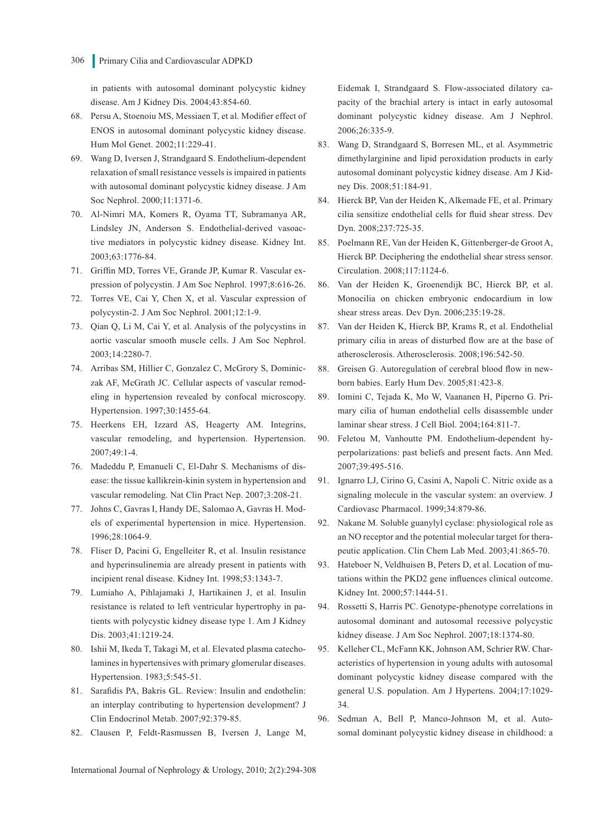in patients with autosomal dominant polycystic kidney disease. Am J Kidney Dis. 2004;43:854-60.

- 68. Persu A, Stoenoiu MS, Messiaen T, et al. Modifier effect of ENOS in autosomal dominant polycystic kidney disease. Hum Mol Genet. 2002;11:229-41.
- 69. Wang D, Iversen J, Strandgaard S. Endothelium-dependent relaxation of small resistance vessels is impaired in patients with autosomal dominant polycystic kidney disease. J Am Soc Nephrol. 2000;11:1371-6.
- 70. Al-Nimri MA, Komers R, Oyama TT, Subramanya AR, Lindsley JN, Anderson S. Endothelial-derived vasoactive mediators in polycystic kidney disease. Kidney Int. 2003;63:1776-84.
- 71. Griffin MD, Torres VE, Grande JP, Kumar R. Vascular expression of polycystin. J Am Soc Nephrol. 1997;8:616-26.
- 72. Torres VE, Cai Y, Chen X, et al. Vascular expression of polycystin-2. J Am Soc Nephrol. 2001;12:1-9.
- 73. Qian Q, Li M, Cai Y, et al. Analysis of the polycystins in aortic vascular smooth muscle cells. J Am Soc Nephrol. 2003;14:2280-7.
- 74. Arribas SM, Hillier C, Gonzalez C, McGrory S, Dominiczak AF, McGrath JC. Cellular aspects of vascular remodeling in hypertension revealed by confocal microscopy. Hypertension. 1997;30:1455-64.
- 75. Heerkens EH, Izzard AS, Heagerty AM. Integrins, vascular remodeling, and hypertension. Hypertension. 2007;49:1-4.
- 76. Madeddu P, Emanueli C, El-Dahr S. Mechanisms of disease: the tissue kallikrein-kinin system in hypertension and vascular remodeling. Nat Clin Pract Nep. 2007;3:208-21.
- 77. Johns C, Gavras I, Handy DE, Salomao A, Gavras H. Models of experimental hypertension in mice. Hypertension. 1996;28:1064-9.
- 78. Fliser D, Pacini G, Engelleiter R, et al. Insulin resistance and hyperinsulinemia are already present in patients with incipient renal disease. Kidney Int. 1998;53:1343-7.
- 79. Lumiaho A, Pihlajamaki J, Hartikainen J, et al. Insulin resistance is related to left ventricular hypertrophy in patients with polycystic kidney disease type 1. Am J Kidney Dis. 2003;41:1219-24.
- 80. Ishii M, Ikeda T, Takagi M, et al. Elevated plasma catecholamines in hypertensives with primary glomerular diseases. Hypertension. 1983;5:545-51.
- 81. Sarafidis PA, Bakris GL. Review: Insulin and endothelin: an interplay contributing to hypertension development? J Clin Endocrinol Metab. 2007;92:379-85.
- 82. Clausen P, Feldt-Rasmussen B, Iversen J, Lange M,

Eidemak I, Strandgaard S. Flow-associated dilatory capacity of the brachial artery is intact in early autosomal dominant polycystic kidney disease. Am J Nephrol. 2006;26:335-9.

- 83. Wang D, Strandgaard S, Borresen ML, et al. Asymmetric dimethylarginine and lipid peroxidation products in early autosomal dominant polycystic kidney disease. Am J Kidney Dis. 2008;51:184-91.
- 84. Hierck BP, Van der Heiden K, Alkemade FE, et al. Primary cilia sensitize endothelial cells for fluid shear stress. Dev Dyn. 2008;237:725-35.
- 85. Poelmann RE, Van der Heiden K, Gittenberger-de Groot A, Hierck BP. Deciphering the endothelial shear stress sensor. Circulation. 2008;117:1124-6.
- 86. Van der Heiden K, Groenendijk BC, Hierck BP, et al. Monocilia on chicken embryonic endocardium in low shear stress areas. Dev Dyn. 2006;235:19-28.
- 87. Van der Heiden K, Hierck BP, Krams R, et al. Endothelial primary cilia in areas of disturbed flow are at the base of atherosclerosis. Atherosclerosis. 2008;196:542-50.
- 88. Greisen G. Autoregulation of cerebral blood flow in newborn babies. Early Hum Dev. 2005;81:423-8.
- 89. Iomini C, Tejada K, Mo W, Vaananen H, Piperno G. Primary cilia of human endothelial cells disassemble under laminar shear stress. J Cell Biol. 2004;164:811-7.
- 90. Feletou M, Vanhoutte PM. Endothelium-dependent hyperpolarizations: past beliefs and present facts. Ann Med. 2007;39:495-516.
- 91. Ignarro LJ, Cirino G, Casini A, Napoli C. Nitric oxide as a signaling molecule in the vascular system: an overview. J Cardiovasc Pharmacol. 1999;34:879-86.
- 92. Nakane M. Soluble guanylyl cyclase: physiological role as an NO receptor and the potential molecular target for therapeutic application. Clin Chem Lab Med. 2003;41:865-70.
- 93. Hateboer N, Veldhuisen B, Peters D, et al. Location of mutations within the PKD2 gene influences clinical outcome. Kidney Int. 2000;57:1444-51.
- 94. Rossetti S, Harris PC. Genotype-phenotype correlations in autosomal dominant and autosomal recessive polycystic kidney disease. J Am Soc Nephrol. 2007;18:1374-80.
- 95. Kelleher CL, McFann KK, Johnson AM, Schrier RW. Characteristics of hypertension in young adults with autosomal dominant polycystic kidney disease compared with the general U.S. population. Am J Hypertens. 2004;17:1029- 34.
- 96. Sedman A, Bell P, Manco-Johnson M, et al. Autosomal dominant polycystic kidney disease in childhood: a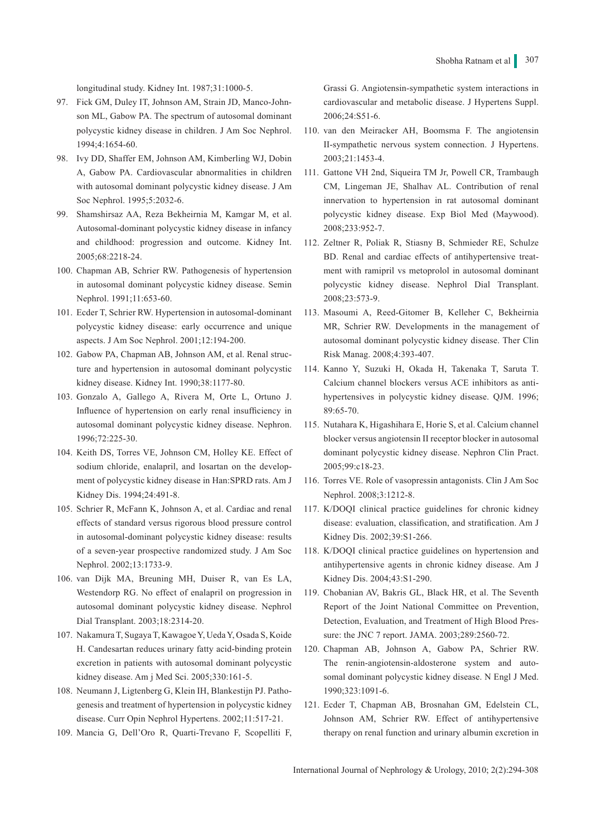longitudinal study. Kidney Int. 1987;31:1000-5.

- 97. Fick GM, Duley IT, Johnson AM, Strain JD, Manco-Johnson ML, Gabow PA. The spectrum of autosomal dominant polycystic kidney disease in children. J Am Soc Nephrol. 1994;4:1654-60.
- 98. Ivy DD, Shaffer EM, Johnson AM, Kimberling WJ, Dobin A, Gabow PA. Cardiovascular abnormalities in children with autosomal dominant polycystic kidney disease. J Am Soc Nephrol. 1995;5:2032-6.
- 99. Shamshirsaz AA, Reza Bekheirnia M, Kamgar M, et al. Autosomal-dominant polycystic kidney disease in infancy and childhood: progression and outcome. Kidney Int. 2005;68:2218-24.
- 100. Chapman AB, Schrier RW. Pathogenesis of hypertension in autosomal dominant polycystic kidney disease. Semin Nephrol. 1991;11:653-60.
- 101. Ecder T, Schrier RW. Hypertension in autosomal-dominant polycystic kidney disease: early occurrence and unique aspects. J Am Soc Nephrol. 2001;12:194-200.
- 102. Gabow PA, Chapman AB, Johnson AM, et al. Renal structure and hypertension in autosomal dominant polycystic kidney disease. Kidney Int. 1990;38:1177-80.
- 103. Gonzalo A, Gallego A, Rivera M, Orte L, Ortuno J. Influence of hypertension on early renal insufficiency in autosomal dominant polycystic kidney disease. Nephron. 1996;72:225-30.
- 104. Keith DS, Torres VE, Johnson CM, Holley KE. Effect of sodium chloride, enalapril, and losartan on the development of polycystic kidney disease in Han:SPRD rats. Am J Kidney Dis. 1994;24:491-8.
- 105. Schrier R, McFann K, Johnson A, et al. Cardiac and renal effects of standard versus rigorous blood pressure control in autosomal-dominant polycystic kidney disease: results of a seven-year prospective randomized study. J Am Soc Nephrol. 2002;13:1733-9.
- 106. van Dijk MA, Breuning MH, Duiser R, van Es LA, Westendorp RG. No effect of enalapril on progression in autosomal dominant polycystic kidney disease. Nephrol Dial Transplant. 2003;18:2314-20.
- 107. Nakamura T, Sugaya T, Kawagoe Y, Ueda Y, Osada S, Koide H. Candesartan reduces urinary fatty acid-binding protein excretion in patients with autosomal dominant polycystic kidney disease. Am j Med Sci. 2005;330:161-5.
- 108. Neumann J, Ligtenberg G, Klein IH, Blankestijn PJ. Pathogenesis and treatment of hypertension in polycystic kidney disease. Curr Opin Nephrol Hypertens. 2002;11:517-21.
- 109. Mancia G, Dell'Oro R, Quarti-Trevano F, Scopelliti F,

Grassi G. Angiotensin-sympathetic system interactions in cardiovascular and metabolic disease. J Hypertens Suppl. 2006;24:S51-6.

- 110. van den Meiracker AH, Boomsma F. The angiotensin II-sympathetic nervous system connection. J Hypertens. 2003;21:1453-4.
- 111. Gattone VH 2nd, Siqueira TM Jr, Powell CR, Trambaugh CM, Lingeman JE, Shalhav AL. Contribution of renal innervation to hypertension in rat autosomal dominant polycystic kidney disease. Exp Biol Med (Maywood). 2008;233:952-7.
- 112. Zeltner R, Poliak R, Stiasny B, Schmieder RE, Schulze BD. Renal and cardiac effects of antihypertensive treatment with ramipril vs metoprolol in autosomal dominant polycystic kidney disease. Nephrol Dial Transplant. 2008;23:573-9.
- 113. Masoumi A, Reed-Gitomer B, Kelleher C, Bekheirnia MR, Schrier RW. Developments in the management of autosomal dominant polycystic kidney disease. Ther Clin Risk Manag. 2008;4:393-407.
- 114. Kanno Y, Suzuki H, Okada H, Takenaka T, Saruta T. Calcium channel blockers versus ACE inhibitors as antihypertensives in polycystic kidney disease. QJM. 1996; 89:65-70.
- 115. Nutahara K, Higashihara E, Horie S, et al. Calcium channel blocker versus angiotensin II receptor blocker in autosomal dominant polycystic kidney disease. Nephron Clin Pract. 2005;99:c18-23.
- 116. Torres VE. Role of vasopressin antagonists. Clin J Am Soc Nephrol. 2008;3:1212-8.
- 117. K/DOQI clinical practice guidelines for chronic kidney disease: evaluation, classification, and stratification. Am J Kidney Dis. 2002;39:S1-266.
- 118. K/DOQI clinical practice guidelines on hypertension and antihypertensive agents in chronic kidney disease. Am J Kidney Dis. 2004;43:S1-290.
- 119. Chobanian AV, Bakris GL, Black HR, et al. The Seventh Report of the Joint National Committee on Prevention, Detection, Evaluation, and Treatment of High Blood Pressure: the JNC 7 report. JAMA. 2003;289:2560-72.
- 120. Chapman AB, Johnson A, Gabow PA, Schrier RW. The renin-angiotensin-aldosterone system and autosomal dominant polycystic kidney disease. N Engl J Med. 1990;323:1091-6.
- 121. Ecder T, Chapman AB, Brosnahan GM, Edelstein CL, Johnson AM, Schrier RW. Effect of antihypertensive therapy on renal function and urinary albumin excretion in